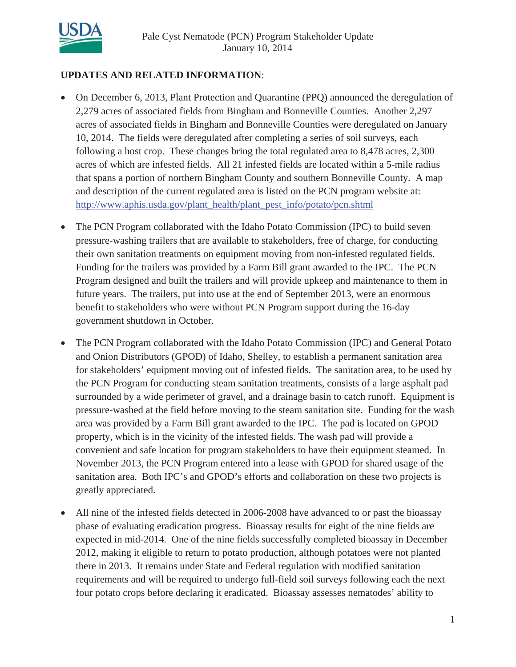

# **UPDATES AND RELATED INFORMATION**:

- x On December 6, 2013, Plant Protection and Quarantine (PPQ) announced the deregulation of 2,279 acres of associated fields from Bingham and Bonneville Counties. Another 2,297 acres of associated fields in Bingham and Bonneville Counties were deregulated on January 10, 2014. The fields were deregulated after completing a series of soil surveys, each following a host crop. These changes bring the total regulated area to 8,478 acres, 2,300 acres of which are infested fields. All 21 infested fields are located within a 5-mile radius that spans a portion of northern Bingham County and southern Bonneville County. A map and description of the current regulated area is listed on the PCN program website at: http://www.aphis.usda.gov/plant\_health/plant\_pest\_info/potato/pcn.shtml
- The PCN Program collaborated with the Idaho Potato Commission (IPC) to build seven pressure-washing trailers that are available to stakeholders, free of charge, for conducting their own sanitation treatments on equipment moving from non-infested regulated fields. Funding for the trailers was provided by a Farm Bill grant awarded to the IPC. The PCN Program designed and built the trailers and will provide upkeep and maintenance to them in future years. The trailers, put into use at the end of September 2013, were an enormous benefit to stakeholders who were without PCN Program support during the 16-day government shutdown in October.
- The PCN Program collaborated with the Idaho Potato Commission (IPC) and General Potato and Onion Distributors (GPOD) of Idaho, Shelley, to establish a permanent sanitation area for stakeholders' equipment moving out of infested fields. The sanitation area, to be used by the PCN Program for conducting steam sanitation treatments, consists of a large asphalt pad surrounded by a wide perimeter of gravel, and a drainage basin to catch runoff. Equipment is pressure-washed at the field before moving to the steam sanitation site. Funding for the wash area was provided by a Farm Bill grant awarded to the IPC. The pad is located on GPOD property, which is in the vicinity of the infested fields. The wash pad will provide a convenient and safe location for program stakeholders to have their equipment steamed. In November 2013, the PCN Program entered into a lease with GPOD for shared usage of the sanitation area. Both IPC's and GPOD's efforts and collaboration on these two projects is greatly appreciated.
- All nine of the infested fields detected in 2006-2008 have advanced to or past the bioassay phase of evaluating eradication progress. Bioassay results for eight of the nine fields are expected in mid-2014. One of the nine fields successfully completed bioassay in December 2012, making it eligible to return to potato production, although potatoes were not planted there in 2013. It remains under State and Federal regulation with modified sanitation requirements and will be required to undergo full-field soil surveys following each the next four potato crops before declaring it eradicated. Bioassay assesses nematodes' ability to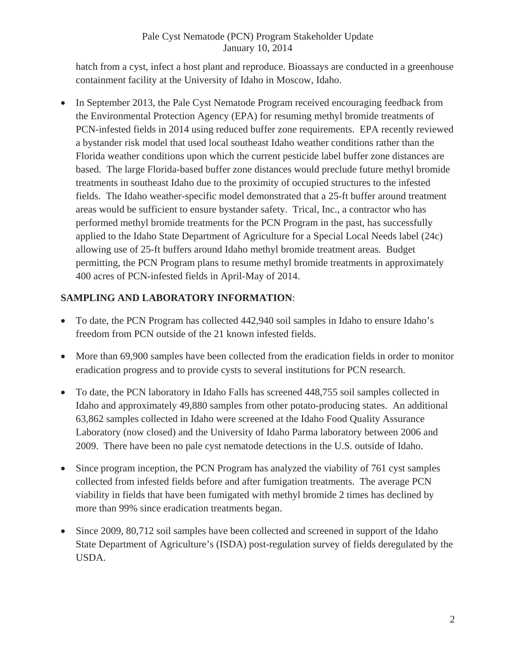hatch from a cyst, infect a host plant and reproduce. Bioassays are conducted in a greenhouse containment facility at the University of Idaho in Moscow, Idaho.

• In September 2013, the Pale Cyst Nematode Program received encouraging feedback from the Environmental Protection Agency (EPA) for resuming methyl bromide treatments of PCN-infested fields in 2014 using reduced buffer zone requirements. EPA recently reviewed a bystander risk model that used local southeast Idaho weather conditions rather than the Florida weather conditions upon which the current pesticide label buffer zone distances are based. The large Florida-based buffer zone distances would preclude future methyl bromide treatments in southeast Idaho due to the proximity of occupied structures to the infested fields. The Idaho weather-specific model demonstrated that a 25-ft buffer around treatment areas would be sufficient to ensure bystander safety. Trical, Inc., a contractor who has performed methyl bromide treatments for the PCN Program in the past, has successfully applied to the Idaho State Department of Agriculture for a Special Local Needs label (24c) allowing use of 25-ft buffers around Idaho methyl bromide treatment areas. Budget permitting, the PCN Program plans to resume methyl bromide treatments in approximately 400 acres of PCN-infested fields in April-May of 2014.

# **SAMPLING AND LABORATORY INFORMATION**:

- To date, the PCN Program has collected 442,940 soil samples in Idaho to ensure Idaho's freedom from PCN outside of the 21 known infested fields.
- More than 69,900 samples have been collected from the eradication fields in order to monitor eradication progress and to provide cysts to several institutions for PCN research.
- To date, the PCN laboratory in Idaho Falls has screened 448,755 soil samples collected in Idaho and approximately 49,880 samples from other potato-producing states. An additional 63,862 samples collected in Idaho were screened at the Idaho Food Quality Assurance Laboratory (now closed) and the University of Idaho Parma laboratory between 2006 and 2009. There have been no pale cyst nematode detections in the U.S. outside of Idaho.
- Since program inception, the PCN Program has analyzed the viability of 761 cyst samples collected from infested fields before and after fumigation treatments. The average PCN viability in fields that have been fumigated with methyl bromide 2 times has declined by more than 99% since eradication treatments began.
- Since 2009, 80,712 soil samples have been collected and screened in support of the Idaho State Department of Agriculture's (ISDA) post-regulation survey of fields deregulated by the USDA.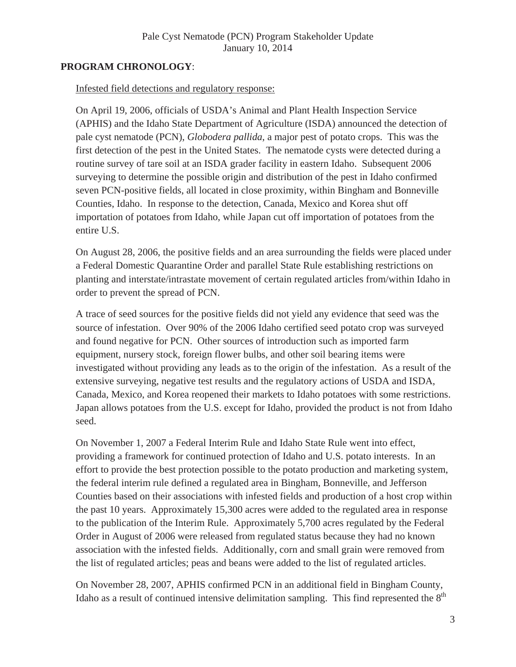# **PROGRAM CHRONOLOGY**:

#### Infested field detections and regulatory response:

On April 19, 2006, officials of USDA's Animal and Plant Health Inspection Service (APHIS) and the Idaho State Department of Agriculture (ISDA) announced the detection of pale cyst nematode (PCN), *Globodera pallida*, a major pest of potato crops. This was the first detection of the pest in the United States. The nematode cysts were detected during a routine survey of tare soil at an ISDA grader facility in eastern Idaho. Subsequent 2006 surveying to determine the possible origin and distribution of the pest in Idaho confirmed seven PCN-positive fields, all located in close proximity, within Bingham and Bonneville Counties, Idaho. In response to the detection, Canada, Mexico and Korea shut off importation of potatoes from Idaho, while Japan cut off importation of potatoes from the entire U.S.

On August 28, 2006, the positive fields and an area surrounding the fields were placed under a Federal Domestic Quarantine Order and parallel State Rule establishing restrictions on planting and interstate/intrastate movement of certain regulated articles from/within Idaho in order to prevent the spread of PCN.

A trace of seed sources for the positive fields did not yield any evidence that seed was the source of infestation. Over 90% of the 2006 Idaho certified seed potato crop was surveyed and found negative for PCN. Other sources of introduction such as imported farm equipment, nursery stock, foreign flower bulbs, and other soil bearing items were investigated without providing any leads as to the origin of the infestation. As a result of the extensive surveying, negative test results and the regulatory actions of USDA and ISDA, Canada, Mexico, and Korea reopened their markets to Idaho potatoes with some restrictions. Japan allows potatoes from the U.S. except for Idaho, provided the product is not from Idaho seed.

On November 1, 2007 a Federal Interim Rule and Idaho State Rule went into effect, providing a framework for continued protection of Idaho and U.S. potato interests. In an effort to provide the best protection possible to the potato production and marketing system, the federal interim rule defined a regulated area in Bingham, Bonneville, and Jefferson Counties based on their associations with infested fields and production of a host crop within the past 10 years. Approximately 15,300 acres were added to the regulated area in response to the publication of the Interim Rule. Approximately 5,700 acres regulated by the Federal Order in August of 2006 were released from regulated status because they had no known association with the infested fields. Additionally, corn and small grain were removed from the list of regulated articles; peas and beans were added to the list of regulated articles.

On November 28, 2007, APHIS confirmed PCN in an additional field in Bingham County, Idaho as a result of continued intensive delimitation sampling. This find represented the  $8<sup>th</sup>$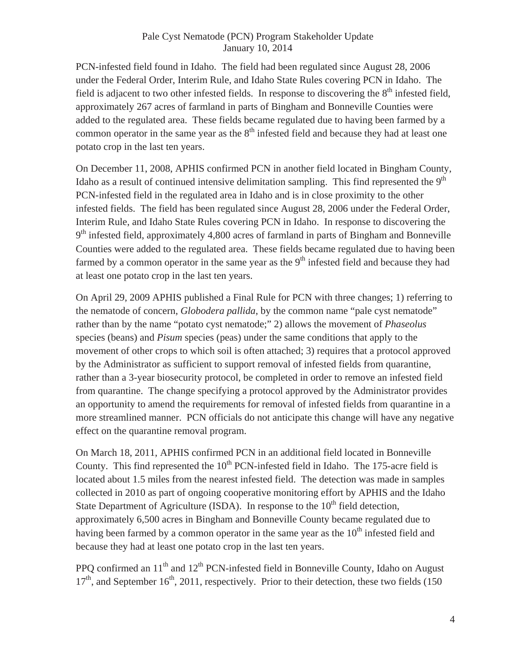PCN-infested field found in Idaho. The field had been regulated since August 28, 2006 under the Federal Order, Interim Rule, and Idaho State Rules covering PCN in Idaho. The field is adjacent to two other infested fields. In response to discovering the  $8<sup>th</sup>$  infested field, approximately 267 acres of farmland in parts of Bingham and Bonneville Counties were added to the regulated area. These fields became regulated due to having been farmed by a common operator in the same year as the  $8<sup>th</sup>$  infested field and because they had at least one potato crop in the last ten years.

On December 11, 2008, APHIS confirmed PCN in another field located in Bingham County, Idaho as a result of continued intensive delimitation sampling. This find represented the  $9<sup>th</sup>$ PCN-infested field in the regulated area in Idaho and is in close proximity to the other infested fields. The field has been regulated since August 28, 2006 under the Federal Order, Interim Rule, and Idaho State Rules covering PCN in Idaho. In response to discovering the  $9<sup>th</sup>$  infested field, approximately 4,800 acres of farmland in parts of Bingham and Bonneville Counties were added to the regulated area. These fields became regulated due to having been farmed by a common operator in the same year as the  $9<sup>th</sup>$  infested field and because they had at least one potato crop in the last ten years.

On April 29, 2009 APHIS published a Final Rule for PCN with three changes; 1) referring to the nematode of concern, *Globodera pallida*, by the common name "pale cyst nematode" rather than by the name "potato cyst nematode;" 2) allows the movement of *Phaseolus* species (beans) and *Pisum* species (peas) under the same conditions that apply to the movement of other crops to which soil is often attached; 3) requires that a protocol approved by the Administrator as sufficient to support removal of infested fields from quarantine, rather than a 3-year biosecurity protocol, be completed in order to remove an infested field from quarantine. The change specifying a protocol approved by the Administrator provides an opportunity to amend the requirements for removal of infested fields from quarantine in a more streamlined manner. PCN officials do not anticipate this change will have any negative effect on the quarantine removal program.

On March 18, 2011, APHIS confirmed PCN in an additional field located in Bonneville County. This find represented the  $10<sup>th</sup>$  PCN-infested field in Idaho. The 175-acre field is located about 1.5 miles from the nearest infested field. The detection was made in samples collected in 2010 as part of ongoing cooperative monitoring effort by APHIS and the Idaho State Department of Agriculture (ISDA). In response to the  $10<sup>th</sup>$  field detection, approximately 6,500 acres in Bingham and Bonneville County became regulated due to having been farmed by a common operator in the same year as the  $10<sup>th</sup>$  infested field and because they had at least one potato crop in the last ten years.

PPQ confirmed an 11<sup>th</sup> and 12<sup>th</sup> PCN-infested field in Bonneville County, Idaho on August  $17<sup>th</sup>$ , and September 16<sup>th</sup>, 2011, respectively. Prior to their detection, these two fields (150)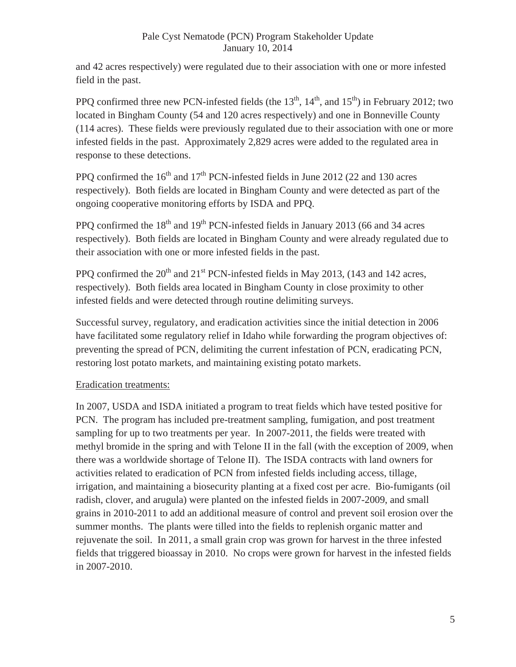and 42 acres respectively) were regulated due to their association with one or more infested field in the past.

PPQ confirmed three new PCN-infested fields (the  $13<sup>th</sup>$ ,  $14<sup>th</sup>$ , and  $15<sup>th</sup>$ ) in February 2012; two located in Bingham County (54 and 120 acres respectively) and one in Bonneville County (114 acres). These fields were previously regulated due to their association with one or more infested fields in the past. Approximately 2,829 acres were added to the regulated area in response to these detections.

PPO confirmed the  $16<sup>th</sup>$  and  $17<sup>th</sup>$  PCN-infested fields in June 2012 (22 and 130 acres respectively). Both fields are located in Bingham County and were detected as part of the ongoing cooperative monitoring efforts by ISDA and PPQ.

PPO confirmed the  $18<sup>th</sup>$  and  $19<sup>th</sup>$  PCN-infested fields in January 2013 (66 and 34 acres respectively). Both fields are located in Bingham County and were already regulated due to their association with one or more infested fields in the past.

PPQ confirmed the  $20<sup>th</sup>$  and  $21<sup>st</sup>$  PCN-infested fields in May 2013, (143 and 142 acres, respectively). Both fields area located in Bingham County in close proximity to other infested fields and were detected through routine delimiting surveys.

Successful survey, regulatory, and eradication activities since the initial detection in 2006 have facilitated some regulatory relief in Idaho while forwarding the program objectives of: preventing the spread of PCN, delimiting the current infestation of PCN, eradicating PCN, restoring lost potato markets, and maintaining existing potato markets.

# Eradication treatments:

In 2007, USDA and ISDA initiated a program to treat fields which have tested positive for PCN. The program has included pre-treatment sampling, fumigation, and post treatment sampling for up to two treatments per year. In 2007-2011, the fields were treated with methyl bromide in the spring and with Telone II in the fall (with the exception of 2009, when there was a worldwide shortage of Telone II). The ISDA contracts with land owners for activities related to eradication of PCN from infested fields including access, tillage, irrigation, and maintaining a biosecurity planting at a fixed cost per acre. Bio-fumigants (oil radish, clover, and arugula) were planted on the infested fields in 2007-2009, and small grains in 2010-2011 to add an additional measure of control and prevent soil erosion over the summer months. The plants were tilled into the fields to replenish organic matter and rejuvenate the soil. In 2011, a small grain crop was grown for harvest in the three infested fields that triggered bioassay in 2010. No crops were grown for harvest in the infested fields in 2007-2010.